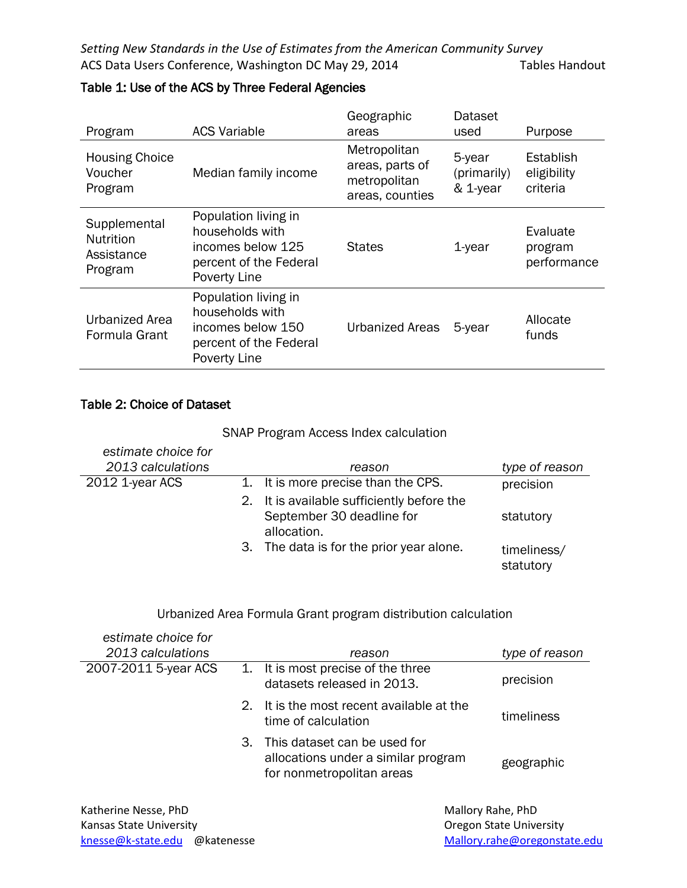| Program                                                   | <b>ACS Variable</b>                                                                                    | Geographic<br>areas                                                | Dataset<br>used                   | Purpose                              |
|-----------------------------------------------------------|--------------------------------------------------------------------------------------------------------|--------------------------------------------------------------------|-----------------------------------|--------------------------------------|
| <b>Housing Choice</b><br>Voucher<br>Program               | Median family income                                                                                   | Metropolitan<br>areas, parts of<br>metropolitan<br>areas, counties | 5-year<br>(primarily)<br>& 1-year | Establish<br>eligibility<br>criteria |
| Supplemental<br><b>Nutrition</b><br>Assistance<br>Program | Population living in<br>households with<br>incomes below 125<br>percent of the Federal<br>Poverty Line | <b>States</b>                                                      | $1$ -year                         | Evaluate<br>program<br>performance   |
| Urbanized Area<br>Formula Grant                           | Population living in<br>households with<br>incomes below 150<br>percent of the Federal<br>Poverty Line | <b>Urbanized Areas</b>                                             | 5-year                            | Allocate<br>funds                    |

# Table 1: Use of the ACS by Three Federal Agencies

## Table 2: Choice of Dataset

| estimate choice for<br>2013 calculations | reason                                                                                 | type of reason           |
|------------------------------------------|----------------------------------------------------------------------------------------|--------------------------|
| 2012 1-year ACS                          | 1. It is more precise than the CPS.                                                    | precision                |
|                                          | 2. It is available sufficiently before the<br>September 30 deadline for<br>allocation. | statutory                |
|                                          | 3. The data is for the prior year alone.                                               | timeliness/<br>statutory |

### Urbanized Area Formula Grant program distribution calculation

| estimate choice for<br>2013 calculations |    | reason                                                                                           |                   | type of reason                 |  |
|------------------------------------------|----|--------------------------------------------------------------------------------------------------|-------------------|--------------------------------|--|
| 2007-2011 5-year ACS                     |    | 1. It is most precise of the three<br>datasets released in 2013.                                 |                   | precision                      |  |
| 2.                                       |    | It is the most recent available at the<br>time of calculation                                    |                   | timeliness                     |  |
|                                          | 3. | This dataset can be used for<br>allocations under a similar program<br>for nonmetropolitan areas |                   | geographic                     |  |
| Katherine Nesse, PhD                     |    |                                                                                                  | Mallory Rahe, PhD |                                |  |
| Kansas State University                  |    |                                                                                                  |                   | <b>Oregon State University</b> |  |
| knesse@k-state.edu<br>@katenesse         |    |                                                                                                  |                   | Mallory.rahe@oregonstate.edu   |  |